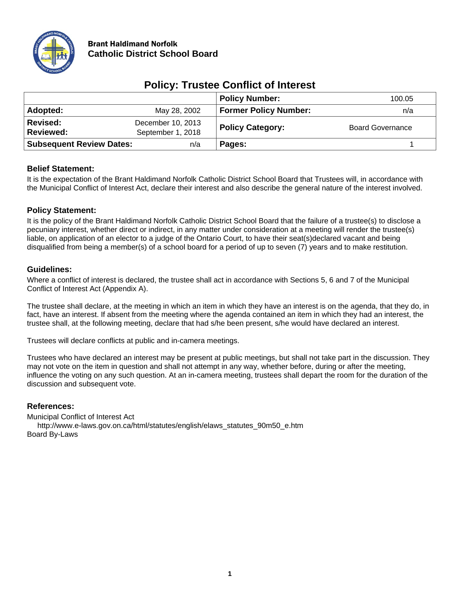

# Brant Haldimand Norfolk **Catholic District School Board**

|                                 |                                        | <b>Policy Number:</b>        | 100.05                  |
|---------------------------------|----------------------------------------|------------------------------|-------------------------|
| Adopted:                        | May 28, 2002                           | <b>Former Policy Number:</b> | n/a                     |
| Revised:<br><b>Reviewed:</b>    | December 10, 2013<br>September 1, 2018 | <b>Policy Category:</b>      | <b>Board Governance</b> |
| <b>Subsequent Review Dates:</b> | n/a                                    | Pages:                       |                         |

# **Policy: Trustee Conflict of Interest**

## **Belief Statement:**

It is the expectation of the Brant Haldimand Norfolk Catholic District School Board that Trustees will, in accordance with the Municipal Conflict of Interest Act, declare their interest and also describe the general nature of the interest involved.

## **Policy Statement:**

It is the policy of the Brant Haldimand Norfolk Catholic District School Board that the failure of a trustee(s) to disclose a pecuniary interest, whether direct or indirect, in any matter under consideration at a meeting will render the trustee(s) liable, on application of an elector to a judge of the Ontario Court, to have their seat(s)declared vacant and being disqualified from being a member(s) of a school board for a period of up to seven (7) years and to make restitution.

## **Guidelines:**

Where a conflict of interest is declared, the trustee shall act in accordance with Sections 5, 6 and 7 of the Municipal Conflict of Interest Act (Appendix A).

The trustee shall declare, at the meeting in which an item in which they have an interest is on the agenda, that they do, in fact, have an interest. If absent from the meeting where the agenda contained an item in which they had an interest, the trustee shall, at the following meeting, declare that had s/he been present, s/he would have declared an interest.

Trustees will declare conflicts at public and in-camera meetings.

Trustees who have declared an interest may be present at public meetings, but shall not take part in the discussion. They may not vote on the item in question and shall not attempt in any way, whether before, during or after the meeting, influence the voting on any such question. At an in-camera meeting, trustees shall depart the room for the duration of the discussion and subsequent vote.

## **References:**

Municipal Conflict of Interest Act [http://www.e-laws.gov.on.ca/html/statutes/english/elaws\\_statutes\\_90m50\\_e.htm](http://www.e-laws.gov.on.ca/html/statutes/english/elaws_statutes_90m50_e.htm) Board By-Laws